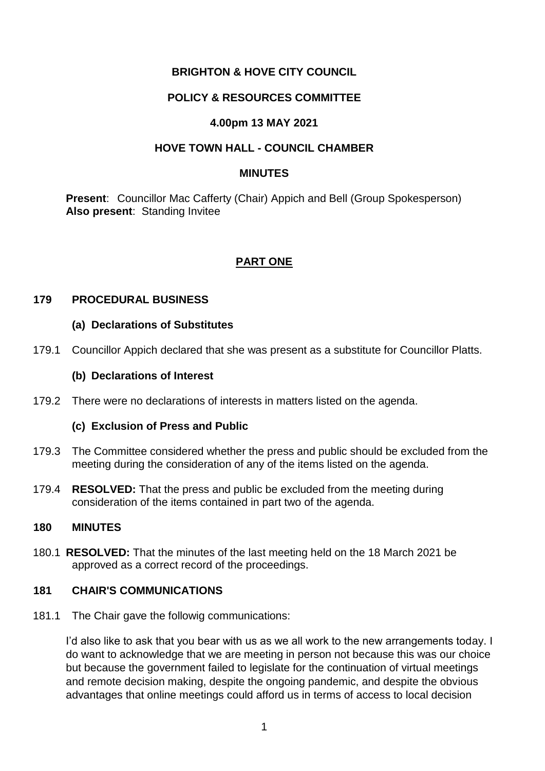# **BRIGHTON & HOVE CITY COUNCIL**

## **POLICY & RESOURCES COMMITTEE**

## **4.00pm 13 MAY 2021**

## **HOVE TOWN HALL - COUNCIL CHAMBER**

### **MINUTES**

**Present**: Councillor Mac Cafferty (Chair) Appich and Bell (Group Spokesperson) **Also present**: Standing Invitee

# **PART ONE**

## **179 PROCEDURAL BUSINESS**

## **(a) Declarations of Substitutes**

179.1 Councillor Appich declared that she was present as a substitute for Councillor Platts.

## **(b) Declarations of Interest**

179.2 There were no declarations of interests in matters listed on the agenda.

## **(c) Exclusion of Press and Public**

- 179.3 The Committee considered whether the press and public should be excluded from the meeting during the consideration of any of the items listed on the agenda.
- 179.4 **RESOLVED:** That the press and public be excluded from the meeting during consideration of the items contained in part two of the agenda.

## **180 MINUTES**

180.1 **RESOLVED:** That the minutes of the last meeting held on the 18 March 2021 be approved as a correct record of the proceedings.

## **181 CHAIR'S COMMUNICATIONS**

181.1 The Chair gave the followig communications:

I'd also like to ask that you bear with us as we all work to the new arrangements today. I do want to acknowledge that we are meeting in person not because this was our choice but because the government failed to legislate for the continuation of virtual meetings and remote decision making, despite the ongoing pandemic, and despite the obvious advantages that online meetings could afford us in terms of access to local decision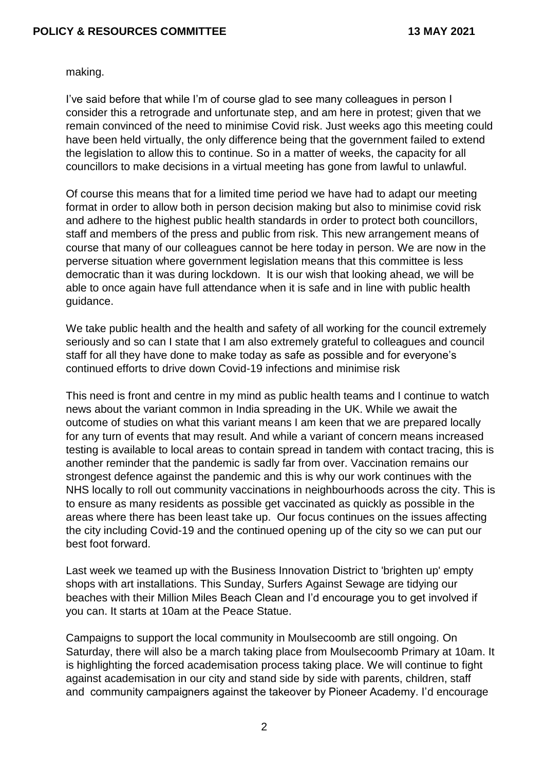making.

I've said before that while I'm of course glad to see many colleagues in person I consider this a retrograde and unfortunate step, and am here in protest; given that we remain convinced of the need to minimise Covid risk. Just weeks ago this meeting could have been held virtually, the only difference being that the government failed to extend the legislation to allow this to continue. So in a matter of weeks, the capacity for all councillors to make decisions in a virtual meeting has gone from lawful to unlawful.

Of course this means that for a limited time period we have had to adapt our meeting format in order to allow both in person decision making but also to minimise covid risk and adhere to the highest public health standards in order to protect both councillors, staff and members of the press and public from risk. This new arrangement means of course that many of our colleagues cannot be here today in person. We are now in the perverse situation where government legislation means that this committee is less democratic than it was during lockdown. It is our wish that looking ahead, we will be able to once again have full attendance when it is safe and in line with public health guidance.

We take public health and the health and safety of all working for the council extremely seriously and so can I state that I am also extremely grateful to colleagues and council staff for all they have done to make today as safe as possible and for everyone's continued efforts to drive down Covid-19 infections and minimise risk

This need is front and centre in my mind as public health teams and I continue to watch news about the variant common in India spreading in the UK. While we await the outcome of studies on what this variant means I am keen that we are prepared locally for any turn of events that may result. And while a variant of concern means increased testing is available to local areas to contain spread in tandem with contact tracing, this is another reminder that the pandemic is sadly far from over. Vaccination remains our strongest defence against the pandemic and this is why our work continues with the NHS locally to roll out community vaccinations in neighbourhoods across the city. This is to ensure as many residents as possible get vaccinated as quickly as possible in the areas where there has been least take up. Our focus continues on the issues affecting the city including Covid-19 and the continued opening up of the city so we can put our best foot forward.

Last week we teamed up with the Business Innovation District to 'brighten up' empty shops with art installations. This Sunday, Surfers Against Sewage are tidying our beaches with their Million Miles Beach Clean and I'd encourage you to get involved if you can. It starts at 10am at the Peace Statue.

Campaigns to support the local community in Moulsecoomb are still ongoing. On Saturday, there will also be a march taking place from Moulsecoomb Primary at 10am. It is highlighting the forced academisation process taking place. We will continue to fight against academisation in our city and stand side by side with parents, children, staff and community campaigners against the takeover by Pioneer Academy. I'd encourage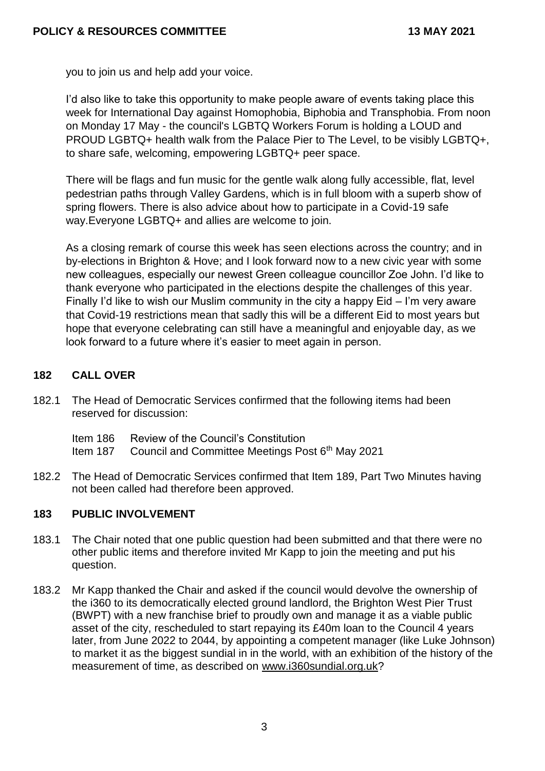you to join us and help add your voice.

I'd also like to take this opportunity to make people aware of events taking place this week for International Day against Homophobia, Biphobia and Transphobia. From noon on Monday 17 May - the council's LGBTQ Workers Forum is holding a LOUD and PROUD LGBTQ+ health walk from the Palace Pier to The Level, to be visibly LGBTQ+, to share safe, welcoming, empowering LGBTQ+ peer space.

There will be flags and fun music for the gentle walk along fully accessible, flat, level pedestrian paths through Valley Gardens, which is in full bloom with a superb show of spring flowers. There is also advice about how to participate in a Covid-19 safe way.Everyone LGBTQ+ and allies are welcome to join.

As a closing remark of course this week has seen elections across the country; and in by-elections in Brighton & Hove; and I look forward now to a new civic year with some new colleagues, especially our newest Green colleague councillor Zoe John. I'd like to thank everyone who participated in the elections despite the challenges of this year. Finally I'd like to wish our Muslim community in the city a happy Eid – I'm very aware that Covid-19 restrictions mean that sadly this will be a different Eid to most years but hope that everyone celebrating can still have a meaningful and enjoyable day, as we look forward to a future where it's easier to meet again in person.

## **182 CALL OVER**

- 182.1 The Head of Democratic Services confirmed that the following items had been reserved for discussion:
	- Item 186 Review of the Council's Constitution
	- Item 187 Council and Committee Meetings Post 6<sup>th</sup> May 2021
- 182.2 The Head of Democratic Services confirmed that Item 189, Part Two Minutes having not been called had therefore been approved.

## **183 PUBLIC INVOLVEMENT**

- 183.1 The Chair noted that one public question had been submitted and that there were no other public items and therefore invited Mr Kapp to join the meeting and put his question.
- 183.2 Mr Kapp thanked the Chair and asked if the council would devolve the ownership of the i360 to its democratically elected ground landlord, the Brighton West Pier Trust (BWPT) with a new franchise brief to proudly own and manage it as a viable public asset of the city, rescheduled to start repaying its £40m loan to the Council 4 years later, from June 2022 to 2044, by appointing a competent manager (like Luke Johnson) to market it as the biggest sundial in in the world, with an exhibition of the history of the measurement of time, as described on [www.i360sundial.org.uk?](http://www.i360sundial.org.uk/)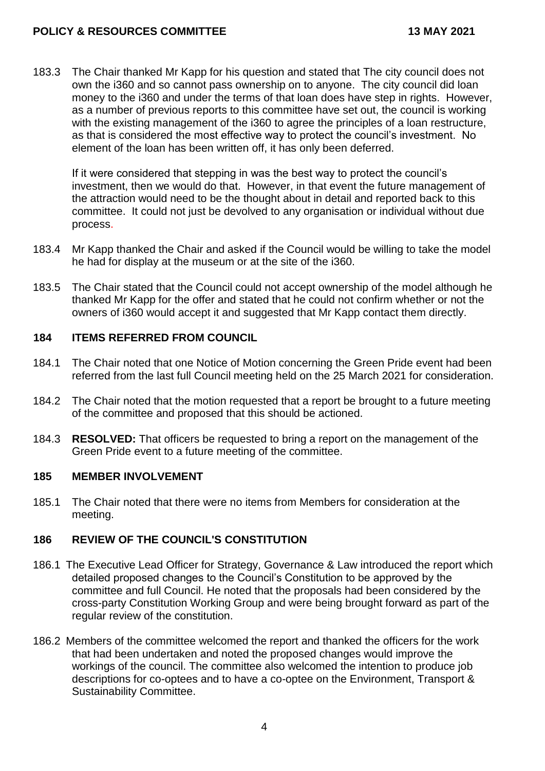### **POLICY & RESOURCES COMMITTEE 13 MAY 2021**

183.3 The Chair thanked Mr Kapp for his question and stated that The city council does not own the i360 and so cannot pass ownership on to anyone. The city council did loan money to the i360 and under the terms of that loan does have step in rights. However, as a number of previous reports to this committee have set out, the council is working with the existing management of the i360 to agree the principles of a loan restructure, as that is considered the most effective way to protect the council's investment. No element of the loan has been written off, it has only been deferred.

If it were considered that stepping in was the best way to protect the council's investment, then we would do that. However, in that event the future management of the attraction would need to be the thought about in detail and reported back to this committee. It could not just be devolved to any organisation or individual without due process.

- 183.4 Mr Kapp thanked the Chair and asked if the Council would be willing to take the model he had for display at the museum or at the site of the i360.
- 183.5 The Chair stated that the Council could not accept ownership of the model although he thanked Mr Kapp for the offer and stated that he could not confirm whether or not the owners of i360 would accept it and suggested that Mr Kapp contact them directly.

#### **184 ITEMS REFERRED FROM COUNCIL**

- 184.1 The Chair noted that one Notice of Motion concerning the Green Pride event had been referred from the last full Council meeting held on the 25 March 2021 for consideration.
- 184.2 The Chair noted that the motion requested that a report be brought to a future meeting of the committee and proposed that this should be actioned.
- 184.3 **RESOLVED:** That officers be requested to bring a report on the management of the Green Pride event to a future meeting of the committee.

## **185 MEMBER INVOLVEMENT**

185.1 The Chair noted that there were no items from Members for consideration at the meeting.

## **186 REVIEW OF THE COUNCIL'S CONSTITUTION**

- 186.1 The Executive Lead Officer for Strategy, Governance & Law introduced the report which detailed proposed changes to the Council's Constitution to be approved by the committee and full Council. He noted that the proposals had been considered by the cross-party Constitution Working Group and were being brought forward as part of the regular review of the constitution.
- 186.2 Members of the committee welcomed the report and thanked the officers for the work that had been undertaken and noted the proposed changes would improve the workings of the council. The committee also welcomed the intention to produce job descriptions for co-optees and to have a co-optee on the Environment, Transport & Sustainability Committee.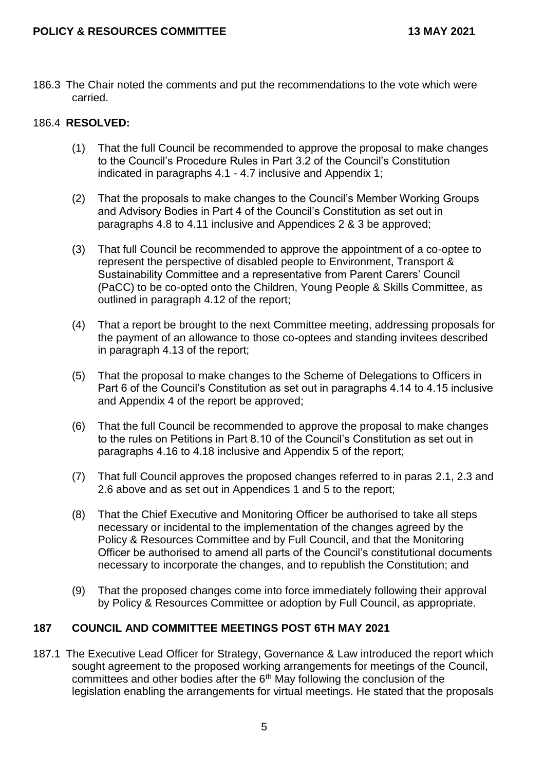186.3 The Chair noted the comments and put the recommendations to the vote which were carried.

## 186.4 **RESOLVED:**

- (1) That the full Council be recommended to approve the proposal to make changes to the Council's Procedure Rules in Part 3.2 of the Council's Constitution indicated in paragraphs 4.1 - 4.7 inclusive and Appendix 1;
- (2) That the proposals to make changes to the Council's Member Working Groups and Advisory Bodies in Part 4 of the Council's Constitution as set out in paragraphs 4.8 to 4.11 inclusive and Appendices 2 & 3 be approved;
- (3) That full Council be recommended to approve the appointment of a co-optee to represent the perspective of disabled people to Environment, Transport & Sustainability Committee and a representative from Parent Carers' Council (PaCC) to be co-opted onto the Children, Young People & Skills Committee, as outlined in paragraph 4.12 of the report;
- (4) That a report be brought to the next Committee meeting, addressing proposals for the payment of an allowance to those co-optees and standing invitees described in paragraph 4.13 of the report;
- (5) That the proposal to make changes to the Scheme of Delegations to Officers in Part 6 of the Council's Constitution as set out in paragraphs 4.14 to 4.15 inclusive and Appendix 4 of the report be approved;
- (6) That the full Council be recommended to approve the proposal to make changes to the rules on Petitions in Part 8.10 of the Council's Constitution as set out in paragraphs 4.16 to 4.18 inclusive and Appendix 5 of the report;
- (7) That full Council approves the proposed changes referred to in paras 2.1, 2.3 and 2.6 above and as set out in Appendices 1 and 5 to the report;
- (8) That the Chief Executive and Monitoring Officer be authorised to take all steps necessary or incidental to the implementation of the changes agreed by the Policy & Resources Committee and by Full Council, and that the Monitoring Officer be authorised to amend all parts of the Council's constitutional documents necessary to incorporate the changes, and to republish the Constitution; and
- (9) That the proposed changes come into force immediately following their approval by Policy & Resources Committee or adoption by Full Council, as appropriate.

## **187 COUNCIL AND COMMITTEE MEETINGS POST 6TH MAY 2021**

187.1 The Executive Lead Officer for Strategy, Governance & Law introduced the report which sought agreement to the proposed working arrangements for meetings of the Council, committees and other bodies after the  $6<sup>th</sup>$  May following the conclusion of the legislation enabling the arrangements for virtual meetings. He stated that the proposals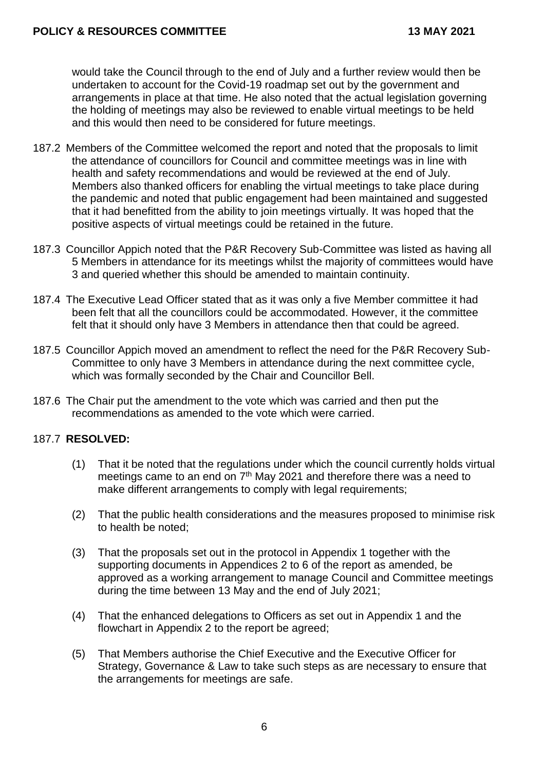would take the Council through to the end of July and a further review would then be undertaken to account for the Covid-19 roadmap set out by the government and arrangements in place at that time. He also noted that the actual legislation governing the holding of meetings may also be reviewed to enable virtual meetings to be held and this would then need to be considered for future meetings.

- 187.2 Members of the Committee welcomed the report and noted that the proposals to limit the attendance of councillors for Council and committee meetings was in line with health and safety recommendations and would be reviewed at the end of July. Members also thanked officers for enabling the virtual meetings to take place during the pandemic and noted that public engagement had been maintained and suggested that it had benefitted from the ability to join meetings virtually. It was hoped that the positive aspects of virtual meetings could be retained in the future.
- 187.3 Councillor Appich noted that the P&R Recovery Sub-Committee was listed as having all 5 Members in attendance for its meetings whilst the majority of committees would have 3 and queried whether this should be amended to maintain continuity.
- 187.4 The Executive Lead Officer stated that as it was only a five Member committee it had been felt that all the councillors could be accommodated. However, it the committee felt that it should only have 3 Members in attendance then that could be agreed.
- 187.5 Councillor Appich moved an amendment to reflect the need for the P&R Recovery Sub-Committee to only have 3 Members in attendance during the next committee cycle, which was formally seconded by the Chair and Councillor Bell.
- 187.6 The Chair put the amendment to the vote which was carried and then put the recommendations as amended to the vote which were carried.

## 187.7 **RESOLVED:**

- (1) That it be noted that the regulations under which the council currently holds virtual meetings came to an end on  $7<sup>th</sup>$  May 2021 and therefore there was a need to make different arrangements to comply with legal requirements;
- (2) That the public health considerations and the measures proposed to minimise risk to health be noted;
- (3) That the proposals set out in the protocol in Appendix 1 together with the supporting documents in Appendices 2 to 6 of the report as amended, be approved as a working arrangement to manage Council and Committee meetings during the time between 13 May and the end of July 2021;
- (4) That the enhanced delegations to Officers as set out in Appendix 1 and the flowchart in Appendix 2 to the report be agreed;
- (5) That Members authorise the Chief Executive and the Executive Officer for Strategy, Governance & Law to take such steps as are necessary to ensure that the arrangements for meetings are safe.